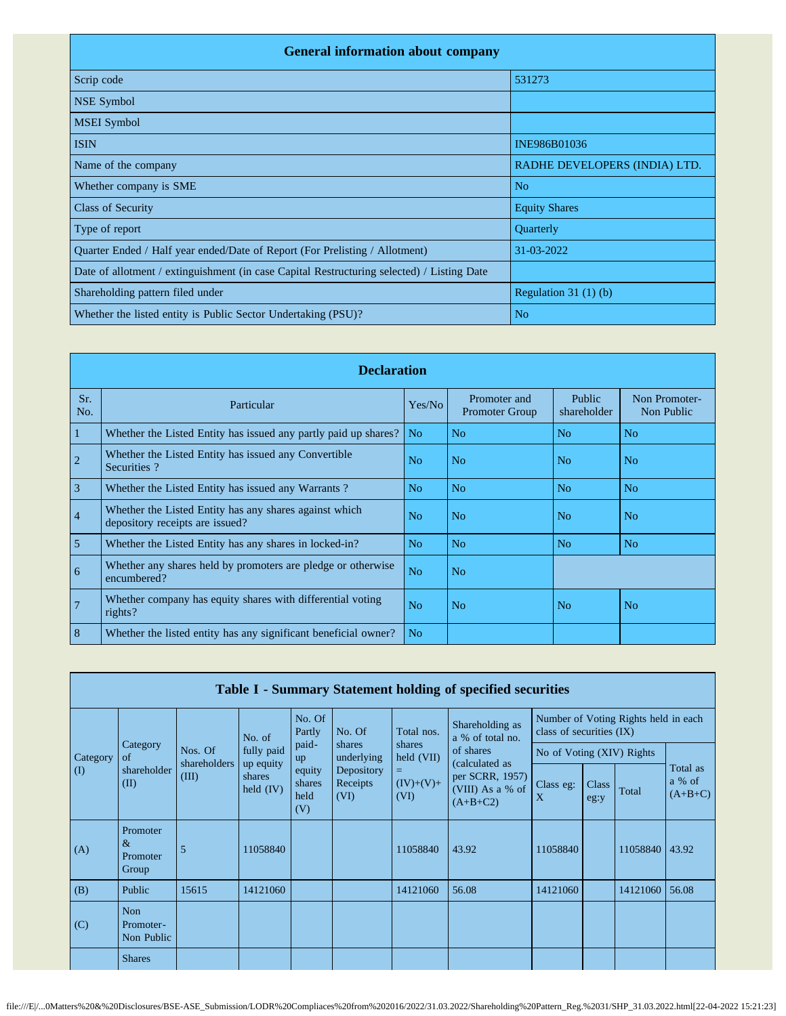| <b>General information about company</b>                                                   |                               |  |  |  |  |  |  |  |  |
|--------------------------------------------------------------------------------------------|-------------------------------|--|--|--|--|--|--|--|--|
| Scrip code                                                                                 | 531273                        |  |  |  |  |  |  |  |  |
| <b>NSE Symbol</b>                                                                          |                               |  |  |  |  |  |  |  |  |
| <b>MSEI</b> Symbol                                                                         |                               |  |  |  |  |  |  |  |  |
| <b>ISIN</b>                                                                                | INE986B01036                  |  |  |  |  |  |  |  |  |
| Name of the company                                                                        | RADHE DEVELOPERS (INDIA) LTD. |  |  |  |  |  |  |  |  |
| Whether company is SME                                                                     | N <sub>o</sub>                |  |  |  |  |  |  |  |  |
| <b>Class of Security</b>                                                                   | <b>Equity Shares</b>          |  |  |  |  |  |  |  |  |
| Type of report                                                                             | Quarterly                     |  |  |  |  |  |  |  |  |
| Quarter Ended / Half year ended/Date of Report (For Prelisting / Allotment)                | 31-03-2022                    |  |  |  |  |  |  |  |  |
| Date of allotment / extinguishment (in case Capital Restructuring selected) / Listing Date |                               |  |  |  |  |  |  |  |  |
| Shareholding pattern filed under                                                           | Regulation $31(1)(b)$         |  |  |  |  |  |  |  |  |
| Whether the listed entity is Public Sector Undertaking (PSU)?                              | N <sub>o</sub>                |  |  |  |  |  |  |  |  |

|                | <b>Declaration</b>                                                                        |                |                                       |                       |                             |  |  |  |  |  |  |  |
|----------------|-------------------------------------------------------------------------------------------|----------------|---------------------------------------|-----------------------|-----------------------------|--|--|--|--|--|--|--|
| Sr.<br>No.     | Particular                                                                                | Yes/No         | Promoter and<br><b>Promoter Group</b> | Public<br>shareholder | Non Promoter-<br>Non Public |  |  |  |  |  |  |  |
| 1              | Whether the Listed Entity has issued any partly paid up shares?                           | N <sub>o</sub> | N <sub>0</sub>                        | N <sub>o</sub>        | N <sub>o</sub>              |  |  |  |  |  |  |  |
| $\overline{c}$ | Whether the Listed Entity has issued any Convertible<br>Securities?                       | N <sub>o</sub> | N <sub>o</sub>                        | N <sub>o</sub>        | N <sub>o</sub>              |  |  |  |  |  |  |  |
| $\overline{3}$ | Whether the Listed Entity has issued any Warrants?                                        | N <sub>o</sub> | N <sub>o</sub>                        | N <sub>o</sub>        | N <sub>o</sub>              |  |  |  |  |  |  |  |
| $\overline{4}$ | Whether the Listed Entity has any shares against which<br>depository receipts are issued? | N <sub>o</sub> | N <sub>o</sub>                        | N <sub>o</sub>        | N <sub>o</sub>              |  |  |  |  |  |  |  |
| 5              | Whether the Listed Entity has any shares in locked-in?                                    | N <sub>o</sub> | N <sub>o</sub>                        | N <sub>o</sub>        | N <sub>o</sub>              |  |  |  |  |  |  |  |
| 6              | Whether any shares held by promoters are pledge or otherwise<br>encumbered?               | N <sub>o</sub> | N <sub>o</sub>                        |                       |                             |  |  |  |  |  |  |  |
| $\overline{7}$ | Whether company has equity shares with differential voting<br>rights?                     | N <sub>0</sub> | N <sub>0</sub>                        | N <sub>o</sub>        | N <sub>o</sub>              |  |  |  |  |  |  |  |
| 8              | Whether the listed entity has any significant beneficial owner?                           | N <sub>o</sub> |                                       |                       |                             |  |  |  |  |  |  |  |

|          | Table I - Summary Statement holding of specified securities |                       |                                    |                                 |                                |                                                                                                                                        |                           |                |                                      |                |                                 |  |  |  |
|----------|-------------------------------------------------------------|-----------------------|------------------------------------|---------------------------------|--------------------------------|----------------------------------------------------------------------------------------------------------------------------------------|---------------------------|----------------|--------------------------------------|----------------|---------------------------------|--|--|--|
|          |                                                             |                       | No. of                             | No. Of<br>Partly                | No. Of<br>Total nos.           | Shareholding as<br>a % of total no.                                                                                                    | class of securities (IX)  |                | Number of Voting Rights held in each |                |                                 |  |  |  |
| Category | Category<br>of                                              | Nos. Of               | fully paid                         | paid-<br>up                     | shares<br>underlying           | shares<br>of shares<br>held (VII)<br>(calculated as<br>$=$<br>per SCRR, 1957)<br>$(IV)+(V)+$<br>(VIII) As a % of<br>(VI)<br>$(A+B+C2)$ | No of Voting (XIV) Rights |                |                                      |                |                                 |  |  |  |
| (I)      | shareholder<br>(II)                                         | shareholders<br>(III) | up equity<br>shares<br>held $(IV)$ | equity<br>shares<br>held<br>(V) | Depository<br>Receipts<br>(VI) |                                                                                                                                        |                           | Class eg:<br>X | Class<br>eg:y                        | Total          | Total as<br>a % of<br>$(A+B+C)$ |  |  |  |
| (A)      | Promoter<br>$\&$<br>Promoter<br>Group                       | 5                     | 11058840                           |                                 |                                | 11058840                                                                                                                               | 43.92                     | 11058840       |                                      | 11058840 43.92 |                                 |  |  |  |
| (B)      | Public                                                      | 15615                 | 14121060                           |                                 |                                | 14121060                                                                                                                               | 56.08                     | 14121060       |                                      | 14121060       | 56.08                           |  |  |  |
| (C)      | <b>Non</b><br>Promoter-<br>Non Public                       |                       |                                    |                                 |                                |                                                                                                                                        |                           |                |                                      |                |                                 |  |  |  |
|          | <b>Shares</b>                                               |                       |                                    |                                 |                                |                                                                                                                                        |                           |                |                                      |                |                                 |  |  |  |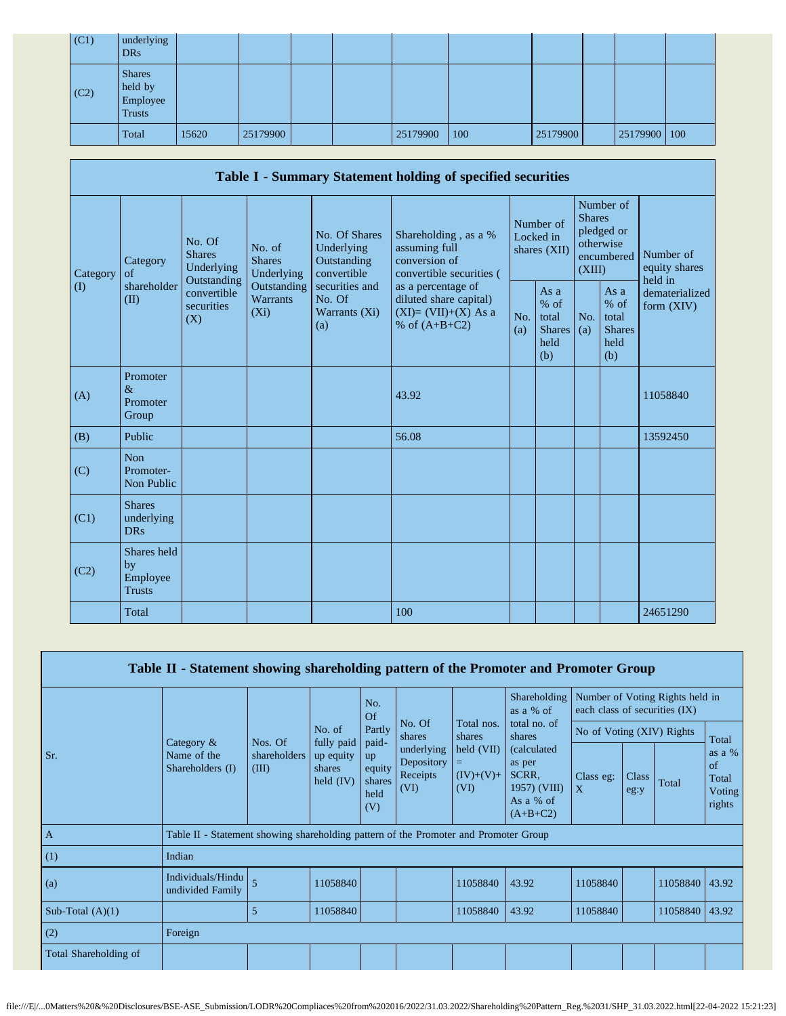| (C1) | underlying<br><b>DRs</b>                              |       |          |  |          |     |          |              |  |
|------|-------------------------------------------------------|-------|----------|--|----------|-----|----------|--------------|--|
| (C2) | <b>Shares</b><br>held by<br>Employee<br><b>Trusts</b> |       |          |  |          |     |          |              |  |
|      | Total                                                 | 15620 | 25179900 |  | 25179900 | 100 | 25179900 | 25179900 100 |  |

|          |                                                |                                                      |                                           |                                                           | Table I - Summary Statement holding of specified securities                              |            |                                                         |                         |                                                         |                                       |  |
|----------|------------------------------------------------|------------------------------------------------------|-------------------------------------------|-----------------------------------------------------------|------------------------------------------------------------------------------------------|------------|---------------------------------------------------------|-------------------------|---------------------------------------------------------|---------------------------------------|--|
| Category | Category<br>of                                 | No. Of<br><b>Shares</b><br>Underlying<br>Outstanding | No. of<br><b>Shares</b><br>Underlying     | No. Of Shares<br>Underlying<br>Outstanding<br>convertible | Shareholding, as a %<br>assuming full<br>conversion of<br>convertible securities (       |            | Number of<br>Locked in<br>shares (XII)                  | <b>Shares</b><br>(XIII) | Number of<br>pledged or<br>otherwise<br>encumbered      | Number of<br>equity shares<br>held in |  |
| $\rm(D)$ | shareholder<br>(II)                            | convertible<br>securities<br>(X)                     | Outstanding<br><b>Warrants</b><br>$(X_i)$ | securities and<br>No. Of<br>Warrants (Xi)<br>(a)          | as a percentage of<br>diluted share capital)<br>$(XI)=(VII)+(X)$ As a<br>% of $(A+B+C2)$ | No.<br>(a) | As a<br>$%$ of<br>total<br><b>Shares</b><br>held<br>(b) | No.<br>(a)              | As a<br>$%$ of<br>total<br><b>Shares</b><br>held<br>(b) | dematerialized<br>form $(XIV)$        |  |
| (A)      | Promoter<br>$\&$<br>Promoter<br>Group          |                                                      |                                           |                                                           | 43.92                                                                                    |            |                                                         |                         |                                                         | 11058840                              |  |
| (B)      | Public                                         |                                                      |                                           |                                                           | 56.08                                                                                    |            |                                                         |                         |                                                         | 13592450                              |  |
| (C)      | <b>Non</b><br>Promoter-<br>Non Public          |                                                      |                                           |                                                           |                                                                                          |            |                                                         |                         |                                                         |                                       |  |
| (C1)     | <b>Shares</b><br>underlying<br><b>DRs</b>      |                                                      |                                           |                                                           |                                                                                          |            |                                                         |                         |                                                         |                                       |  |
| (C2)     | Shares held<br>by<br>Employee<br><b>Trusts</b> |                                                      |                                           |                                                           |                                                                                          |            |                                                         |                         |                                                         |                                       |  |
|          | Total                                          |                                                      |                                           |                                                           | 100                                                                                      |            |                                                         |                         |                                                         | 24651290                              |  |

| Table II - Statement showing shareholding pattern of the Promoter and Promoter Group |                                                                                      |                       |                                                                                                                                                    |           |                                        |                                                                              |                           |                                                                  |       |                                                   |       |
|--------------------------------------------------------------------------------------|--------------------------------------------------------------------------------------|-----------------------|----------------------------------------------------------------------------------------------------------------------------------------------------|-----------|----------------------------------------|------------------------------------------------------------------------------|---------------------------|------------------------------------------------------------------|-------|---------------------------------------------------|-------|
|                                                                                      |                                                                                      |                       | No. of                                                                                                                                             | No.<br>Of | Shareholding<br>as a % of              |                                                                              |                           | Number of Voting Rights held in<br>each class of securities (IX) |       |                                                   |       |
|                                                                                      | Category $\&$                                                                        | Nos. Of               |                                                                                                                                                    | Partly    | No. Of<br>shares                       | Total nos.<br>shares                                                         | total no. of<br>shares    | No of Voting (XIV) Rights                                        |       |                                                   | Total |
| Sr.                                                                                  | Name of the<br>Shareholders (I)                                                      | shareholders<br>(III) | fully paid<br>paid-<br>underlying<br>up equity<br>up<br>Depository<br>shares<br>equity<br>Receipts<br>held $(IV)$<br>shares<br>(VI)<br>held<br>(V) |           | held (VII)<br>Ξ<br>$(IV)+(V)+$<br>(VI) | (calculated)<br>as per<br>SCRR.<br>$1957)$ (VIII)<br>As a % of<br>$(A+B+C2)$ | Class eg:<br>$\mathbf{X}$ | Class<br>eg:y                                                    | Total | as a $%$<br>$\alpha$<br>Total<br>Voting<br>rights |       |
| $\mathbf{A}$                                                                         | Table II - Statement showing shareholding pattern of the Promoter and Promoter Group |                       |                                                                                                                                                    |           |                                        |                                                                              |                           |                                                                  |       |                                                   |       |
| (1)                                                                                  | Indian                                                                               |                       |                                                                                                                                                    |           |                                        |                                                                              |                           |                                                                  |       |                                                   |       |
| (a)                                                                                  | Individuals/Hindu<br>undivided Family                                                | $\overline{5}$        | 11058840                                                                                                                                           |           |                                        | 11058840                                                                     | 43.92                     | 11058840                                                         |       | 11058840 43.92                                    |       |
| Sub-Total $(A)(1)$                                                                   |                                                                                      | 5                     | 11058840                                                                                                                                           |           |                                        | 11058840                                                                     | 43.92                     | 11058840                                                         |       | 11058840                                          | 43.92 |
| (2)                                                                                  | Foreign                                                                              |                       |                                                                                                                                                    |           |                                        |                                                                              |                           |                                                                  |       |                                                   |       |
| Total Shareholding of                                                                |                                                                                      |                       |                                                                                                                                                    |           |                                        |                                                                              |                           |                                                                  |       |                                                   |       |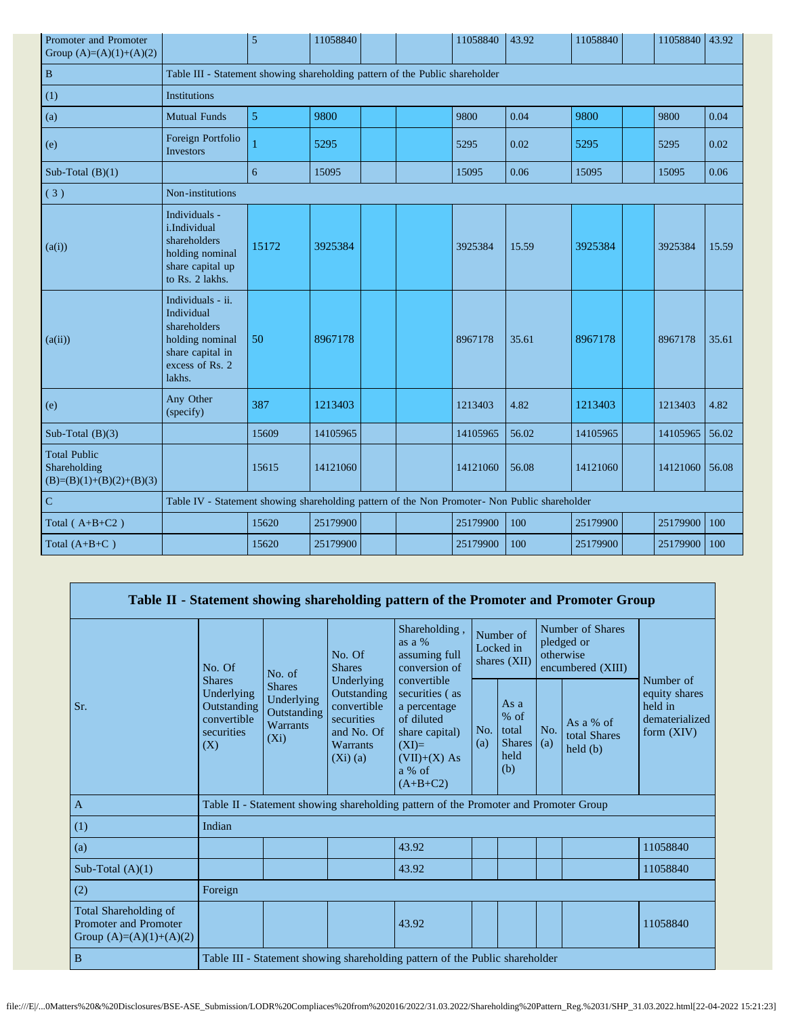| Promoter and Promoter<br>Group $(A)=(A)(1)+(A)(2)$                |                                                                                                                     | 5                                                                                             | 11058840 |  |  | 11058840 | 43.92 | 11058840 |  | 11058840 43.92 |       |
|-------------------------------------------------------------------|---------------------------------------------------------------------------------------------------------------------|-----------------------------------------------------------------------------------------------|----------|--|--|----------|-------|----------|--|----------------|-------|
| $\, {\bf B}$                                                      | Table III - Statement showing shareholding pattern of the Public shareholder                                        |                                                                                               |          |  |  |          |       |          |  |                |       |
| (1)                                                               | Institutions                                                                                                        |                                                                                               |          |  |  |          |       |          |  |                |       |
| (a)                                                               | <b>Mutual Funds</b>                                                                                                 | 5                                                                                             | 9800     |  |  | 9800     | 0.04  | 9800     |  | 9800           | 0.04  |
| (e)                                                               | Foreign Portfolio<br><b>Investors</b>                                                                               |                                                                                               | 5295     |  |  | 5295     | 0.02  | 5295     |  | 5295           | 0.02  |
| Sub-Total $(B)(1)$                                                |                                                                                                                     | 6                                                                                             | 15095    |  |  | 15095    | 0.06  | 15095    |  | 15095          | 0.06  |
| (3)                                                               | Non-institutions                                                                                                    |                                                                                               |          |  |  |          |       |          |  |                |       |
| (a(i))                                                            | Individuals -<br>i.Individual<br>shareholders<br>holding nominal<br>share capital up<br>to Rs. 2 lakhs.             | 15172                                                                                         | 3925384  |  |  | 3925384  | 15.59 | 3925384  |  | 3925384        | 15.59 |
| (a(ii))                                                           | Individuals - ii.<br>Individual<br>shareholders<br>holding nominal<br>share capital in<br>excess of Rs. 2<br>lakhs. | 50                                                                                            | 8967178  |  |  | 8967178  | 35.61 | 8967178  |  | 8967178        | 35.61 |
| (e)                                                               | Any Other<br>(specify)                                                                                              | 387                                                                                           | 1213403  |  |  | 1213403  | 4.82  | 1213403  |  | 1213403        | 4.82  |
| Sub-Total $(B)(3)$                                                |                                                                                                                     | 15609                                                                                         | 14105965 |  |  | 14105965 | 56.02 | 14105965 |  | 14105965       | 56.02 |
| <b>Total Public</b><br>Shareholding<br>$(B)=(B)(1)+(B)(2)+(B)(3)$ |                                                                                                                     | 15615                                                                                         | 14121060 |  |  | 14121060 | 56.08 | 14121060 |  | 14121060       | 56.08 |
| $\mathbf C$                                                       |                                                                                                                     | Table IV - Statement showing shareholding pattern of the Non Promoter- Non Public shareholder |          |  |  |          |       |          |  |                |       |
| Total $(A+B+C2)$                                                  |                                                                                                                     | 15620                                                                                         | 25179900 |  |  | 25179900 | 100   | 25179900 |  | 25179900       | 100   |
| Total $(A+B+C)$                                                   |                                                                                                                     | 15620                                                                                         | 25179900 |  |  | 25179900 | 100   | 25179900 |  | 25179900       | 100   |

|                                                                             |                                                               |                                                                          |                                                                                                       | Table II - Statement showing shareholding pattern of the Promoter and Promoter Group                                               |                                        |                                                         |                                                                    |                                                                  |                                                                         |
|-----------------------------------------------------------------------------|---------------------------------------------------------------|--------------------------------------------------------------------------|-------------------------------------------------------------------------------------------------------|------------------------------------------------------------------------------------------------------------------------------------|----------------------------------------|---------------------------------------------------------|--------------------------------------------------------------------|------------------------------------------------------------------|-------------------------------------------------------------------------|
|                                                                             | No. Of<br><b>Shares</b>                                       | No. of                                                                   | No. Of<br><b>Shares</b>                                                                               | Shareholding,<br>as a $%$<br>assuming full<br>conversion of                                                                        | Number of<br>Locked in<br>shares (XII) |                                                         |                                                                    | Number of Shares<br>pledged or<br>otherwise<br>encumbered (XIII) |                                                                         |
| Sr.                                                                         | Underlying<br>Outstanding<br>convertible<br>securities<br>(X) | <b>Shares</b><br>Underlying<br>Outstanding<br><b>Warrants</b><br>$(X_i)$ | Underlying<br>Outstanding<br>convertible<br>securities<br>and No. Of<br><b>Warrants</b><br>$(Xi)$ (a) | convertible<br>securities (as<br>a percentage<br>of diluted<br>share capital)<br>$(XI)=$<br>$(VII)+(X) As$<br>a % of<br>$(A+B+C2)$ | No.<br>(a)                             | As a<br>$%$ of<br>total<br><b>Shares</b><br>held<br>(b) | As a % of<br>No.<br>total Shares<br>(a)<br>$\text{held}(\text{b})$ |                                                                  | Number of<br>equity shares<br>held in<br>dematerialized<br>form $(XIV)$ |
| $\mathbf{A}$                                                                |                                                               |                                                                          |                                                                                                       | Table II - Statement showing shareholding pattern of the Promoter and Promoter Group                                               |                                        |                                                         |                                                                    |                                                                  |                                                                         |
| (1)                                                                         | Indian                                                        |                                                                          |                                                                                                       |                                                                                                                                    |                                        |                                                         |                                                                    |                                                                  |                                                                         |
| (a)                                                                         |                                                               |                                                                          |                                                                                                       | 43.92                                                                                                                              |                                        |                                                         |                                                                    |                                                                  | 11058840                                                                |
| Sub-Total $(A)(1)$                                                          |                                                               |                                                                          |                                                                                                       | 43.92                                                                                                                              |                                        |                                                         |                                                                    |                                                                  | 11058840                                                                |
| (2)                                                                         | Foreign                                                       |                                                                          |                                                                                                       |                                                                                                                                    |                                        |                                                         |                                                                    |                                                                  |                                                                         |
| Total Shareholding of<br>Promoter and Promoter<br>Group $(A)=(A)(1)+(A)(2)$ |                                                               |                                                                          |                                                                                                       | 43.92                                                                                                                              |                                        |                                                         |                                                                    |                                                                  | 11058840                                                                |
| $\, {\bf B}$                                                                |                                                               |                                                                          |                                                                                                       | Table III - Statement showing shareholding pattern of the Public shareholder                                                       |                                        |                                                         |                                                                    |                                                                  |                                                                         |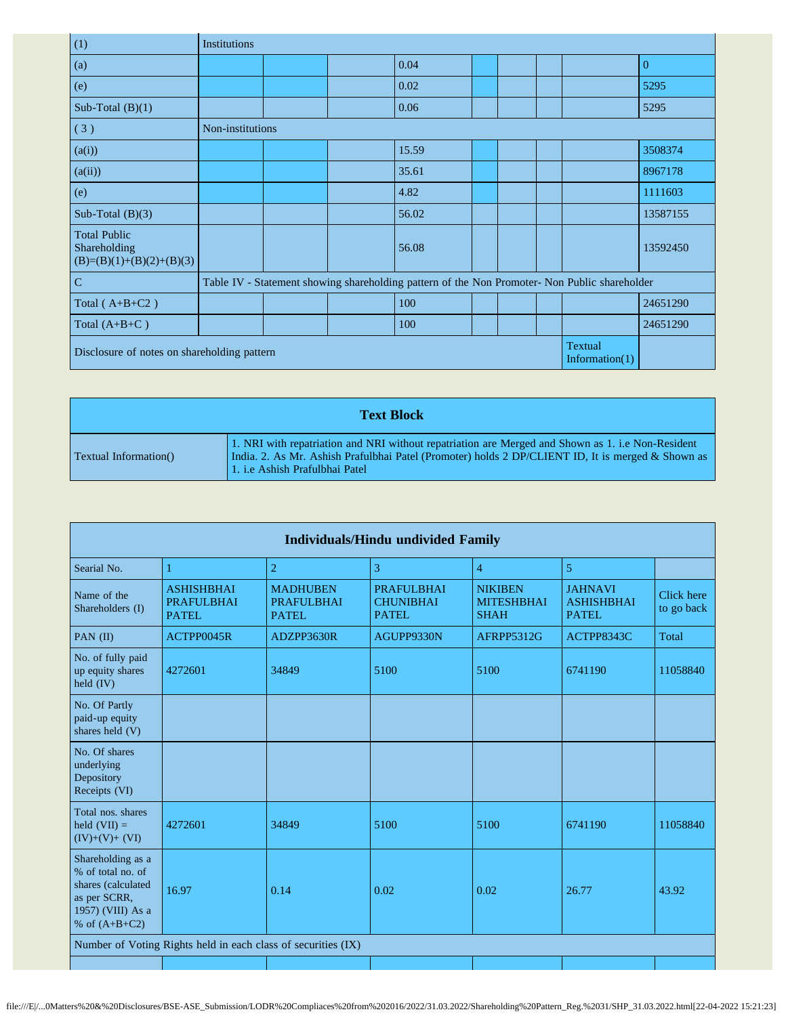| (1)                                                                             | Institutions     |  |  |                                                                                               |  |  |  |  |                |
|---------------------------------------------------------------------------------|------------------|--|--|-----------------------------------------------------------------------------------------------|--|--|--|--|----------------|
| (a)                                                                             |                  |  |  | 0.04                                                                                          |  |  |  |  | $\overline{0}$ |
| (e)                                                                             |                  |  |  | 0.02                                                                                          |  |  |  |  | 5295           |
| Sub-Total $(B)(1)$                                                              |                  |  |  | 0.06                                                                                          |  |  |  |  | 5295           |
| (3)                                                                             | Non-institutions |  |  |                                                                                               |  |  |  |  |                |
| (a(i))                                                                          |                  |  |  | 15.59                                                                                         |  |  |  |  | 3508374        |
| (a(ii))                                                                         |                  |  |  | 35.61                                                                                         |  |  |  |  | 8967178        |
| (e)                                                                             |                  |  |  | 4.82                                                                                          |  |  |  |  | 1111603        |
| Sub-Total $(B)(3)$                                                              |                  |  |  | 56.02                                                                                         |  |  |  |  | 13587155       |
| <b>Total Public</b><br>Shareholding<br>$(B)=(B)(1)+(B)(2)+(B)(3)$               |                  |  |  | 56.08                                                                                         |  |  |  |  | 13592450       |
| $\mathcal{C}$                                                                   |                  |  |  | Table IV - Statement showing shareholding pattern of the Non Promoter- Non Public shareholder |  |  |  |  |                |
| Total $(A+B+C2)$                                                                |                  |  |  | 100                                                                                           |  |  |  |  | 24651290       |
| Total $(A+B+C)$                                                                 |                  |  |  | 100                                                                                           |  |  |  |  | 24651290       |
| <b>Textual</b><br>Disclosure of notes on shareholding pattern<br>Information(1) |                  |  |  |                                                                                               |  |  |  |  |                |

| <b>Text Block</b>             |                                                                                                                                                                                                                                            |  |  |  |  |  |  |  |
|-------------------------------|--------------------------------------------------------------------------------------------------------------------------------------------------------------------------------------------------------------------------------------------|--|--|--|--|--|--|--|
| <b>Textual Information</b> () | 1. NRI with repatriation and NRI without repatriation are Merged and Shown as 1. i.e Non-Resident<br>India. 2. As Mr. Ashish Prafulbhai Patel (Promoter) holds 2 DP/CLIENT ID, It is merged & Shown as<br>l 1. i.e Ashish Prafulbhai Patel |  |  |  |  |  |  |  |

|                                                                                                                      | <b>Individuals/Hindu undivided Family</b>                     |                                                      |                                                       |                                                    |                                                     |                          |  |  |  |  |  |  |  |
|----------------------------------------------------------------------------------------------------------------------|---------------------------------------------------------------|------------------------------------------------------|-------------------------------------------------------|----------------------------------------------------|-----------------------------------------------------|--------------------------|--|--|--|--|--|--|--|
| Searial No.                                                                                                          | 1                                                             | $\overline{2}$                                       | 3                                                     | $\overline{4}$                                     | 5                                                   |                          |  |  |  |  |  |  |  |
| Name of the<br>Shareholders (I)                                                                                      | <b>ASHISHBHAI</b><br><b>PRAFULBHAI</b><br><b>PATEL</b>        | <b>MADHUBEN</b><br><b>PRAFULBHAI</b><br><b>PATEL</b> | <b>PRAFULBHAI</b><br><b>CHUNIBHAI</b><br><b>PATEL</b> | <b>NIKIBEN</b><br><b>MITESHBHAI</b><br><b>SHAH</b> | <b>JAHNAVI</b><br><b>ASHISHBHAI</b><br><b>PATEL</b> | Click here<br>to go back |  |  |  |  |  |  |  |
| PAN (II)                                                                                                             | ACTPP0045R                                                    | ADZPP3630R                                           | AGUPP9330N                                            | AFRPP5312G                                         | ACTPP8343C                                          | Total                    |  |  |  |  |  |  |  |
| No. of fully paid<br>up equity shares<br>held $(IV)$                                                                 | 4272601                                                       | 34849                                                | 5100                                                  | 5100                                               | 6741190                                             | 11058840                 |  |  |  |  |  |  |  |
| No. Of Partly<br>paid-up equity<br>shares held (V)                                                                   |                                                               |                                                      |                                                       |                                                    |                                                     |                          |  |  |  |  |  |  |  |
| No. Of shares<br>underlying<br>Depository<br>Receipts (VI)                                                           |                                                               |                                                      |                                                       |                                                    |                                                     |                          |  |  |  |  |  |  |  |
| Total nos. shares<br>held $(VII) =$<br>$(IV)+(V)+(VI)$                                                               | 4272601                                                       | 34849                                                | 5100                                                  | 5100                                               | 6741190                                             | 11058840                 |  |  |  |  |  |  |  |
| Shareholding as a<br>% of total no. of<br>shares (calculated<br>as per SCRR,<br>1957) (VIII) As a<br>% of $(A+B+C2)$ | 16.97                                                         | 0.14                                                 | 0.02                                                  | 0.02                                               | 26.77                                               | 43.92                    |  |  |  |  |  |  |  |
|                                                                                                                      | Number of Voting Rights held in each class of securities (IX) |                                                      |                                                       |                                                    |                                                     |                          |  |  |  |  |  |  |  |
|                                                                                                                      |                                                               |                                                      |                                                       |                                                    |                                                     |                          |  |  |  |  |  |  |  |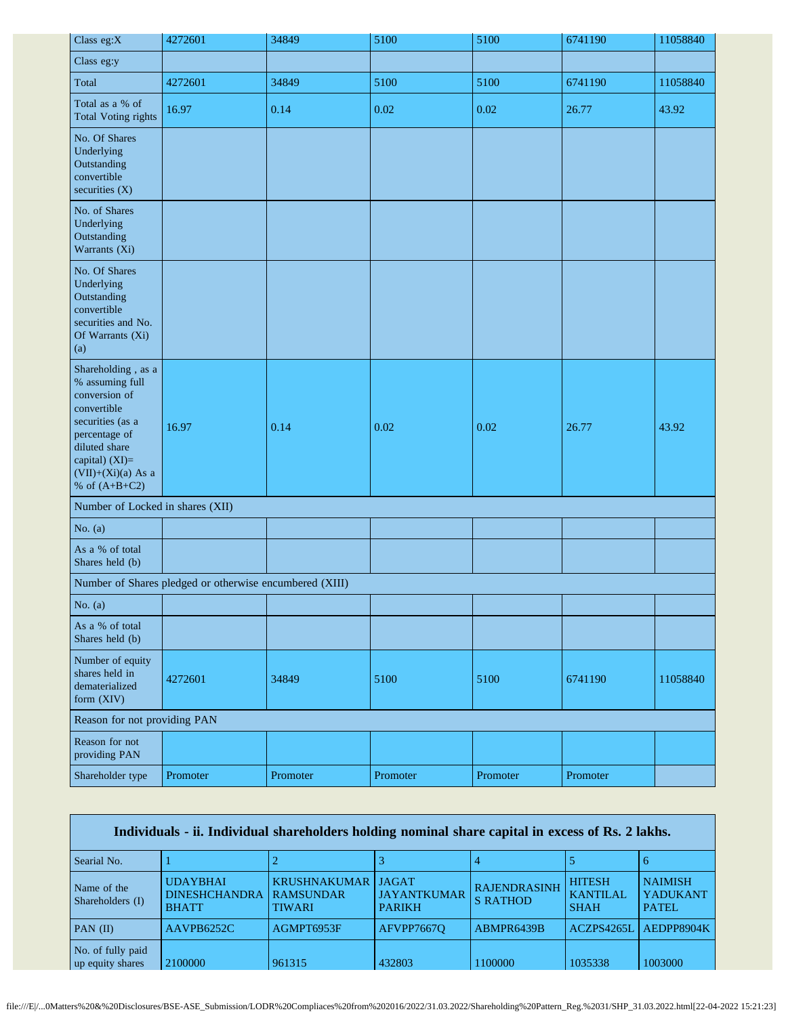| Class eg:X                                                                                                                                                                               | 4272601                                                 | 34849    | 5100     | 5100     | 6741190  | 11058840 |
|------------------------------------------------------------------------------------------------------------------------------------------------------------------------------------------|---------------------------------------------------------|----------|----------|----------|----------|----------|
| Class eg:y                                                                                                                                                                               |                                                         |          |          |          |          |          |
| Total                                                                                                                                                                                    | 4272601                                                 | 34849    | 5100     | 5100     | 6741190  | 11058840 |
| Total as a % of<br><b>Total Voting rights</b>                                                                                                                                            | 16.97                                                   | 0.14     | 0.02     | 0.02     | 26.77    | 43.92    |
| No. Of Shares<br>Underlying<br>Outstanding<br>convertible<br>securities $(X)$                                                                                                            |                                                         |          |          |          |          |          |
| No. of Shares<br>Underlying<br>Outstanding<br>Warrants (Xi)                                                                                                                              |                                                         |          |          |          |          |          |
| No. Of Shares<br>Underlying<br>Outstanding<br>convertible<br>securities and No.<br>Of Warrants (Xi)<br>(a)                                                                               |                                                         |          |          |          |          |          |
| Shareholding, as a<br>% assuming full<br>conversion of<br>convertible<br>securities (as a<br>percentage of<br>diluted share<br>capital) (XI)=<br>$(VII)+(Xi)(a)$ As a<br>% of $(A+B+C2)$ | 16.97                                                   | 0.14     | 0.02     | 0.02     | 26.77    | 43.92    |
| Number of Locked in shares (XII)                                                                                                                                                         |                                                         |          |          |          |          |          |
| No. $(a)$                                                                                                                                                                                |                                                         |          |          |          |          |          |
| As a % of total<br>Shares held (b)                                                                                                                                                       |                                                         |          |          |          |          |          |
|                                                                                                                                                                                          | Number of Shares pledged or otherwise encumbered (XIII) |          |          |          |          |          |
| No. $(a)$                                                                                                                                                                                |                                                         |          |          |          |          |          |
| As a % of total<br>Shares held (b)                                                                                                                                                       |                                                         |          |          |          |          |          |
| Number of equity<br>shares held in<br>dematerialized<br>form (XIV)                                                                                                                       | 4272601                                                 | 34849    | 5100     | 5100     | 6741190  | 11058840 |
| Reason for not providing PAN                                                                                                                                                             |                                                         |          |          |          |          |          |
| Reason for not<br>providing PAN                                                                                                                                                          |                                                         |          |          |          |          |          |
| Shareholder type                                                                                                                                                                         | Promoter                                                | Promoter | Promoter | Promoter | Promoter |          |

| Individuals - ii. Individual shareholders holding nominal share capital in excess of Rs. 2 lakhs. |                                                            |                                      |                                                     |                                        |                                                 |                                                   |  |
|---------------------------------------------------------------------------------------------------|------------------------------------------------------------|--------------------------------------|-----------------------------------------------------|----------------------------------------|-------------------------------------------------|---------------------------------------------------|--|
| Searial No.                                                                                       |                                                            |                                      |                                                     |                                        |                                                 | Ð                                                 |  |
| Name of the<br>Shareholders (I)                                                                   | <b>UDAYBHAI</b><br>DINESHCHANDRA RAMSUNDAR<br><b>BHATT</b> | <b>KRUSHNAKUMAR</b><br><b>TIWARI</b> | <b>JAGAT</b><br><b>JAYANTKUMAR</b><br><b>PARIKH</b> | <b>RAJENDRASINH</b><br><b>S RATHOD</b> | <b>HITESH</b><br><b>KANTILAL</b><br><b>SHAH</b> | <b>NAIMISH</b><br><b>YADUKANT</b><br><b>PATEL</b> |  |
| PAN $(II)$                                                                                        | AAVPB6252C                                                 | AGMPT6953F                           | <b>AFVPP76670</b>                                   | ABMPR6439B                             | ACZPS4265L                                      | AEDPP8904K                                        |  |
| No. of fully paid<br>up equity shares                                                             | 2100000                                                    | 961315                               | 432803                                              | 1100000                                | 1035338                                         | 1003000                                           |  |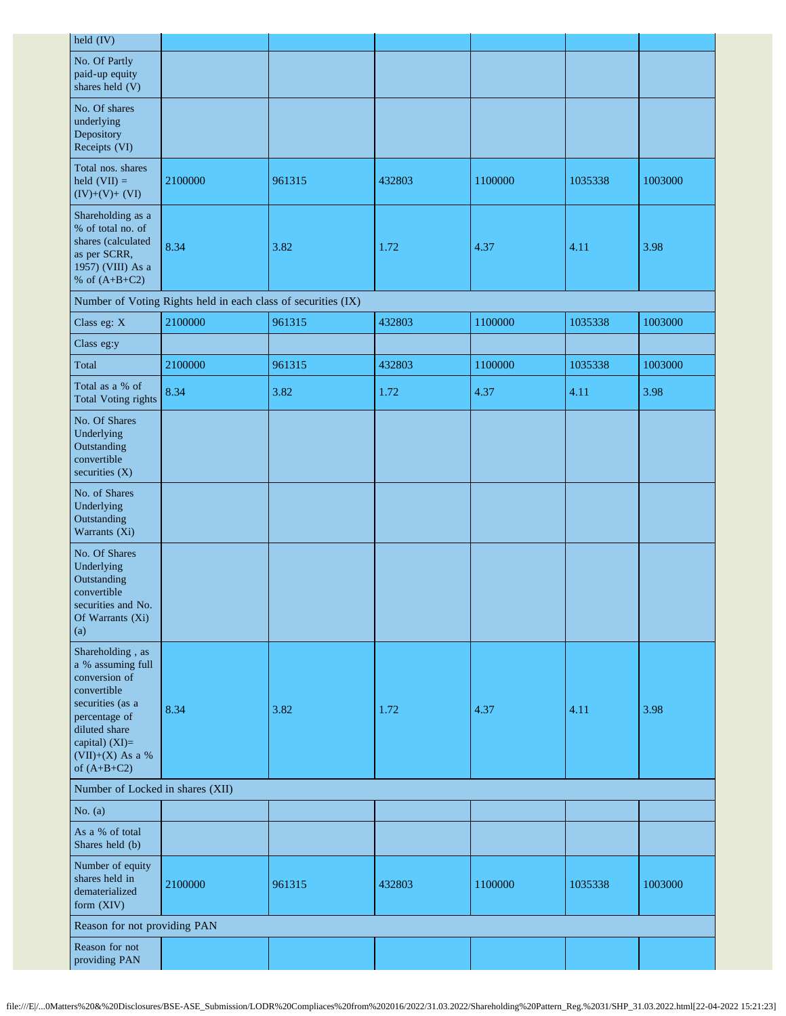| held (IV)                                                                                                                                                                            |                                                               |        |        |         |         |         |  |
|--------------------------------------------------------------------------------------------------------------------------------------------------------------------------------------|---------------------------------------------------------------|--------|--------|---------|---------|---------|--|
| No. Of Partly<br>paid-up equity<br>shares held (V)                                                                                                                                   |                                                               |        |        |         |         |         |  |
| No. Of shares<br>underlying<br>Depository<br>Receipts (VI)                                                                                                                           |                                                               |        |        |         |         |         |  |
| Total nos. shares<br>held $(VII) =$<br>$(IV)+(V)+(VI)$                                                                                                                               | 2100000                                                       | 961315 | 432803 | 1100000 | 1035338 | 1003000 |  |
| Shareholding as a<br>% of total no. of<br>shares (calculated<br>as per SCRR,<br>1957) (VIII) As a<br>% of $(A+B+C2)$                                                                 | 8.34                                                          | 3.82   | 1.72   | 4.37    | 4.11    | 3.98    |  |
|                                                                                                                                                                                      | Number of Voting Rights held in each class of securities (IX) |        |        |         |         |         |  |
| Class eg: X                                                                                                                                                                          | 2100000                                                       | 961315 | 432803 | 1100000 | 1035338 | 1003000 |  |
| Class eg:y                                                                                                                                                                           |                                                               |        |        |         |         |         |  |
| Total                                                                                                                                                                                | 2100000                                                       | 961315 | 432803 | 1100000 | 1035338 | 1003000 |  |
| Total as a % of<br><b>Total Voting rights</b>                                                                                                                                        | 8.34                                                          | 3.82   | 1.72   | 4.37    | 4.11    | 3.98    |  |
| No. Of Shares<br>Underlying<br>Outstanding<br>convertible<br>securities $(X)$                                                                                                        |                                                               |        |        |         |         |         |  |
| No. of Shares<br>Underlying<br>Outstanding<br>Warrants (Xi)                                                                                                                          |                                                               |        |        |         |         |         |  |
| No. Of Shares<br>Underlying<br>Outstanding<br>convertible<br>securities and No.<br>Of Warrants (Xi)<br>(a)                                                                           |                                                               |        |        |         |         |         |  |
| Shareholding, as<br>a % assuming full<br>conversion of<br>convertible<br>securities (as a<br>percentage of<br>diluted share<br>capital) $(XI)=$<br>(VII)+(X) As a %<br>of $(A+B+C2)$ | 8.34                                                          | 3.82   | 1.72   | 4.37    | 4.11    | 3.98    |  |
| Number of Locked in shares (XII)                                                                                                                                                     |                                                               |        |        |         |         |         |  |
| No. $(a)$                                                                                                                                                                            |                                                               |        |        |         |         |         |  |
| As a % of total<br>Shares held (b)                                                                                                                                                   |                                                               |        |        |         |         |         |  |
| Number of equity<br>shares held in<br>dematerialized<br>form (XIV)                                                                                                                   | 2100000                                                       | 961315 | 432803 | 1100000 | 1035338 | 1003000 |  |
| Reason for not providing PAN                                                                                                                                                         |                                                               |        |        |         |         |         |  |
| Reason for not<br>providing PAN                                                                                                                                                      |                                                               |        |        |         |         |         |  |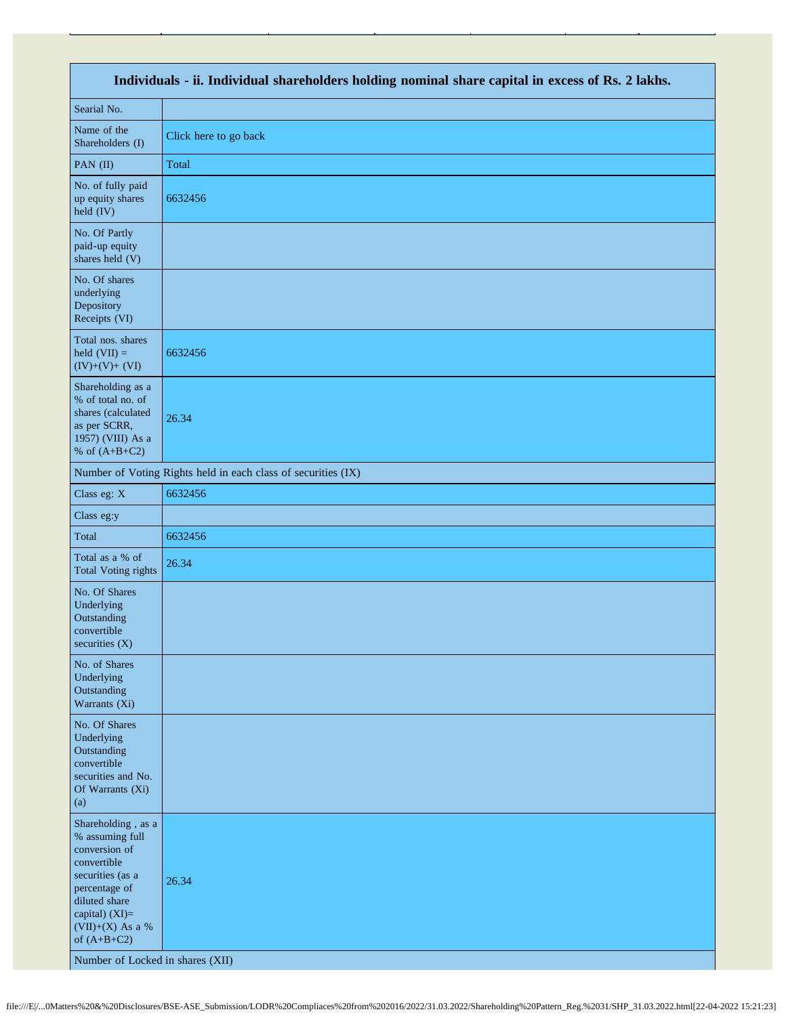| Individuals - ii. Individual shareholders holding nominal share capital in excess of Rs. 2 lakhs.                                                                                                                      |                                                               |  |  |  |  |  |
|------------------------------------------------------------------------------------------------------------------------------------------------------------------------------------------------------------------------|---------------------------------------------------------------|--|--|--|--|--|
| Searial No.                                                                                                                                                                                                            |                                                               |  |  |  |  |  |
| Name of the<br>Shareholders (I)                                                                                                                                                                                        | Click here to go back                                         |  |  |  |  |  |
| PAN (II)                                                                                                                                                                                                               | Total                                                         |  |  |  |  |  |
| No. of fully paid<br>up equity shares<br>held (IV)                                                                                                                                                                     | 6632456                                                       |  |  |  |  |  |
| No. Of Partly<br>paid-up equity<br>shares held (V)                                                                                                                                                                     |                                                               |  |  |  |  |  |
| No. Of shares<br>underlying<br>Depository<br>Receipts (VI)                                                                                                                                                             |                                                               |  |  |  |  |  |
| Total nos. shares<br>held $(VII) =$<br>$(IV)+(V)+(VI)$                                                                                                                                                                 | 6632456                                                       |  |  |  |  |  |
| Shareholding as a<br>% of total no. of<br>shares (calculated<br>as per SCRR,<br>1957) (VIII) As a<br>% of $(A+B+C2)$                                                                                                   | 26.34                                                         |  |  |  |  |  |
|                                                                                                                                                                                                                        | Number of Voting Rights held in each class of securities (IX) |  |  |  |  |  |
| Class eg: X                                                                                                                                                                                                            | 6632456                                                       |  |  |  |  |  |
| Class eg:y                                                                                                                                                                                                             |                                                               |  |  |  |  |  |
| Total                                                                                                                                                                                                                  | 6632456                                                       |  |  |  |  |  |
| Total as a % of<br><b>Total Voting rights</b>                                                                                                                                                                          | 26.34                                                         |  |  |  |  |  |
| No. Of Shares<br>Underlying<br>Outstanding<br>convertible<br>securities (X)                                                                                                                                            |                                                               |  |  |  |  |  |
| No. of Shares<br>Underlying<br>Outstanding<br>Warrants (Xi)                                                                                                                                                            |                                                               |  |  |  |  |  |
| No. Of Shares<br>Underlying<br>Outstanding<br>convertible<br>securities and No.<br>Of Warrants (Xi)<br>(a)                                                                                                             |                                                               |  |  |  |  |  |
| Shareholding, as a<br>% assuming full<br>conversion of<br>convertible<br>securities (as a<br>percentage of<br>diluted share<br>capital) (XI)=<br>(VII)+(X) As a %<br>of $(A+B+C2)$<br>Number of Locked in shares (XII) | 26.34                                                         |  |  |  |  |  |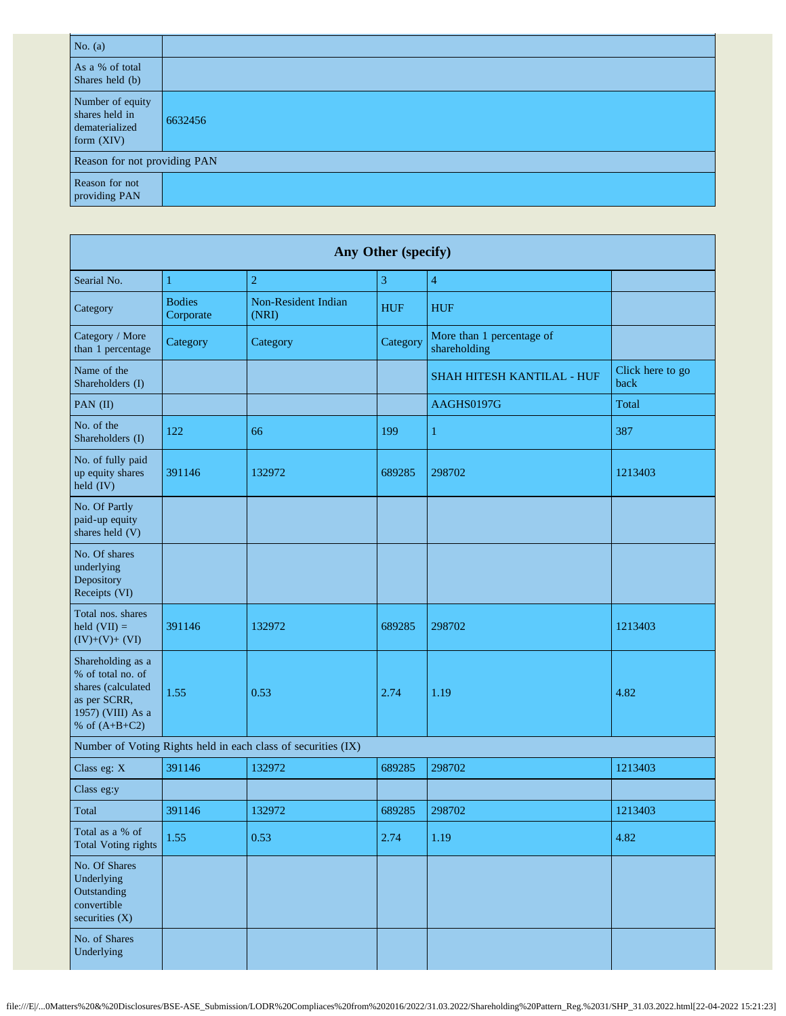| No. $(a)$                                                            |         |  |  |  |  |
|----------------------------------------------------------------------|---------|--|--|--|--|
| As a % of total<br>Shares held (b)                                   |         |  |  |  |  |
| Number of equity<br>shares held in<br>dematerialized<br>form $(XIV)$ | 6632456 |  |  |  |  |
| Reason for not providing PAN                                         |         |  |  |  |  |
| Reason for not<br>providing PAN                                      |         |  |  |  |  |

| Any Other (specify)                                                                                                  |                            |                              |              |                                           |                          |  |
|----------------------------------------------------------------------------------------------------------------------|----------------------------|------------------------------|--------------|-------------------------------------------|--------------------------|--|
| Searial No.                                                                                                          | $\mathbf{1}$               | $\overline{2}$               | $\mathbf{3}$ | $\overline{\mathcal{A}}$                  |                          |  |
| Category                                                                                                             | <b>Bodies</b><br>Corporate | Non-Resident Indian<br>(NRI) | <b>HUF</b>   | <b>HUF</b>                                |                          |  |
| Category / More<br>than 1 percentage                                                                                 | Category                   | Category                     | Category     | More than 1 percentage of<br>shareholding |                          |  |
| Name of the<br>Shareholders (I)                                                                                      |                            |                              |              | <b>SHAH HITESH KANTILAL - HUF</b>         | Click here to go<br>back |  |
| PAN (II)                                                                                                             |                            |                              |              | AAGHS0197G                                | Total                    |  |
| No. of the<br>Shareholders (I)                                                                                       | 122                        | 66                           | 199          | 1                                         | 387                      |  |
| No. of fully paid<br>up equity shares<br>held (IV)                                                                   | 391146                     | 132972                       | 689285       | 298702                                    | 1213403                  |  |
| No. Of Partly<br>paid-up equity<br>shares held (V)                                                                   |                            |                              |              |                                           |                          |  |
| No. Of shares<br>underlying<br>Depository<br>Receipts (VI)                                                           |                            |                              |              |                                           |                          |  |
| Total nos. shares<br>held $(VII) =$<br>$(IV)+(V)+(VI)$                                                               | 391146                     | 132972                       | 689285       | 298702                                    | 1213403                  |  |
| Shareholding as a<br>% of total no. of<br>shares (calculated<br>as per SCRR,<br>1957) (VIII) As a<br>% of $(A+B+C2)$ | 1.55                       | 0.53                         | 2.74         | 1.19                                      | 4.82                     |  |
| Number of Voting Rights held in each class of securities (IX)                                                        |                            |                              |              |                                           |                          |  |
| Class eg: X                                                                                                          | 391146                     | 132972                       | 689285       | 298702                                    | 1213403                  |  |
| Class eg:y                                                                                                           |                            |                              |              |                                           |                          |  |
| Total                                                                                                                | 391146                     | 132972                       | 689285       | 298702                                    | 1213403                  |  |
| Total as a % of<br><b>Total Voting rights</b>                                                                        | 1.55                       | 0.53                         | 2.74         | 1.19                                      | 4.82                     |  |
| No. Of Shares<br>Underlying<br>Outstanding<br>convertible<br>securities (X)                                          |                            |                              |              |                                           |                          |  |
| No. of Shares<br>Underlying                                                                                          |                            |                              |              |                                           |                          |  |